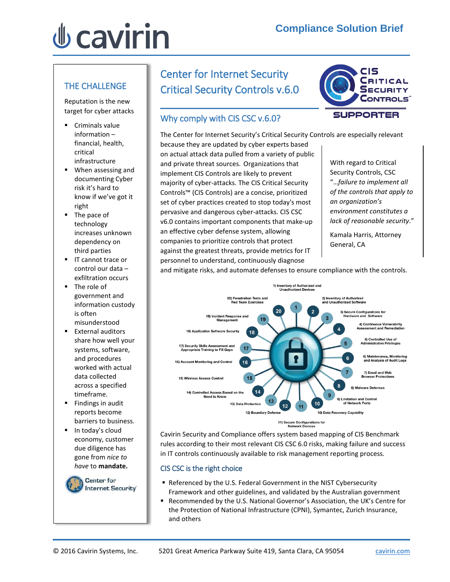# *<u><b>J* cavirin</u>

#### THE CHALLENGE

Reputation is the new target for cyber attacks

- Criminals value information – financial, health, critical infrastructure
- When assessing and documenting Cyber risk it's hard to know if we've got it right
- The pace of technology increases unknown dependency on third parties
- **IF** cannot trace or control our data – exfiltration occurs
- **The role of** government and information custody is often misunderstood
- **External auditors** share how well your systems, software, and procedures worked with actual data collected across a specified timeframe.
- $\blacksquare$  Findings in audit reports become barriers to business.
- $\blacksquare$  In today's cloud economy, customer due diligence has gone from *nice to have* to **mandate.**

**Center for Internet Security** 

## Center for Internet Security Critical Security Controls v.6.0

### Why comply with CIS CSC v.6.0?



The Center for Internet Security's Critical Security Controls are especially relevant because they are updated by cyber experts based on actual attack data pulled from a variety of public and private threat sources. Organizations that implement CIS Controls are likely to prevent majority of cyber-attacks. The CIS Critical Security Controls™ (CIS Controls) are a concise, prioritized set of cyber practices created to stop today's most pervasive and dangerous cyber-attacks. CIS CSC v6.0 contains important components that make-up an effective cyber defense system, allowing companies to prioritize controls that protect against the greatest threats, provide metrics for IT personnel to understand, continuously diagnose

With regard to Critical Security Controls, CSC "…*failure to implement all of the controls that apply to an organization's environment constitutes a lack of reasonable security*."

Kamala Harris, Attorney General, CA

and mitigate risks, and automate defenses to ensure compliance with the controls.



Cavirin Security and Compliance offers system based mapping of CIS Benchmark rules according to their most relevant CIS CSC 6.0 risks, making failure and success in IT controls continuously available to risk management reporting process.

#### CIS CSC is the right choice

- Referenced by the U.S. Federal Government in the NIST Cybersecurity Framework and other guidelines, and validated by the Australian government
- Recommended by the U.S. National Governor's Association, the UK's Centre for the Protection of National Infrastructure (CPNI), Symantec, Zurich Insurance, and others